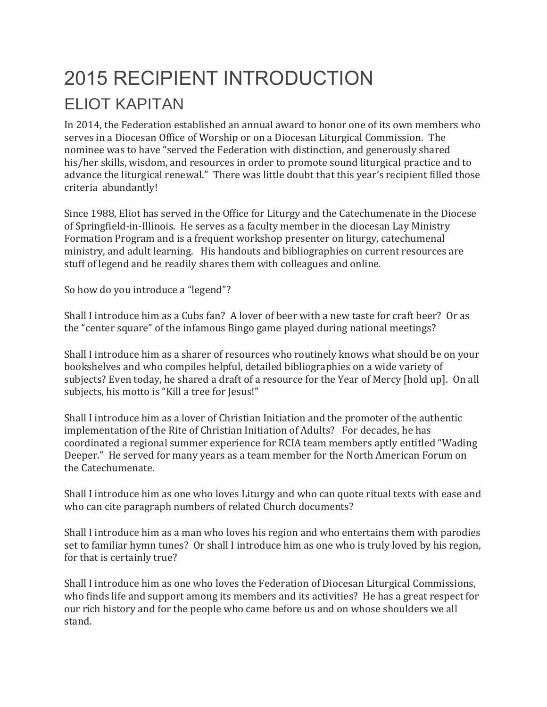## 2015 RECIPIENT INTRODUCTION ELIOT KAPITAN

In 2014, the Federation established an annual award to honor one of its own members who serves in a Diocesan Office of Worship or on a Diocesan Liturgical Commission. The nominee was to have "served the Federation with distinction, and generously shared his/her skills, wisdom, and resources in order to promote sound liturgical practice and to advance the liturgical renewal." There was little doubt that this year's recipient filled those criteria abundantly!

Since 1988, Eliot has served in the Office for Liturgy and the Catechumenate in the Diocese of Springfield-in-Illinois. He serves as a faculty member in the diocesan Lay Ministry Formation Program and is a frequent workshop presenter on liturgy, catechumenal ministry, and adult learning. His handouts and bibliographies on current resources are stuff of legend and he readily shares them with colleagues and online.

So how do you introduce a "legend"?

Shall I introduce him as a Cubs fan? A lover of beer with a new taste for craft beer? Or as the "center square" of the infamous Bingo game played during national meetings?

Shall I introduce him as a sharer of resources who routinely knows what should be on your bookshelves and who compiles helpful, detailed bibliographies on a wide variety of subjects? Even today, he shared a draft of a resource for the Year of Mercy [hold up]. On all subjects, his motto is "Kill a tree for Jesus!"

Shall I introduce him as a lover of Christian Initiation and the promoter of the authentic implementation of the Rite of Christian Initiation of Adults? For decades, he has coordinated a regional summer experience for RCIA team members aptly entitled "Wading Deeper." He served for many years as a team member for the North American Forum on the Catechumenate.

Shall I introduce him as one who loves Liturgy and who can quote ritual texts with ease and who can cite paragraph numbers of related Church documents?

Shall I introduce him as a man who loves his region and who entertains them with parodies set to familiar hymn tunes? Or shall I introduce him as one who is truly loved by his region, for that is certainly true?

Shall I introduce him as one who loves the Federation of Diocesan Liturgical Commissions, who finds life and support among its members and its activities? He has a great respect for our rich history and for the people who came before us and on whose shoulders we all stand.